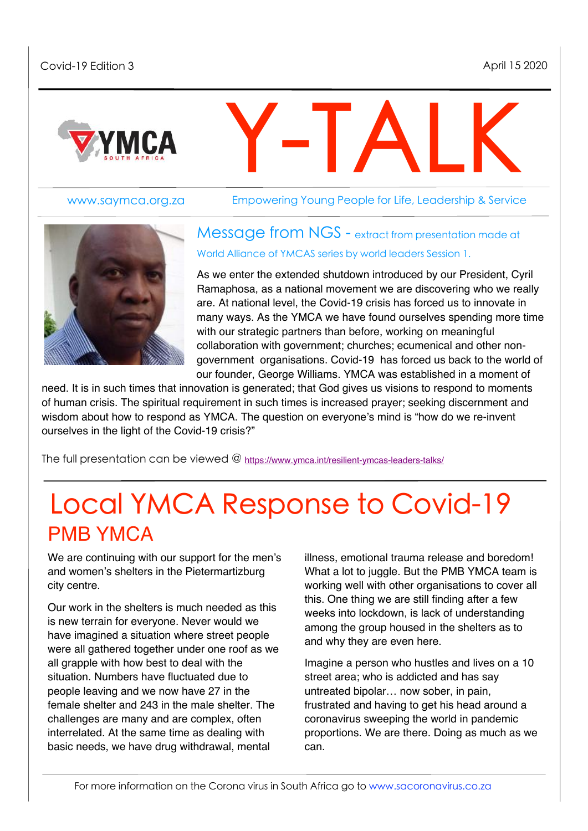

www.saymca.org.za

Empowering Young People for Life, Leadership & Service

Y-TALK



Message from NGS - extract from presentation made at World Alliance of YMCAS series by world leaders Session 1.

As we enter the extended shutdown introduced by our President, Cyril Ramaphosa, as a national movement we are discovering who we really are. At national level, the Covid-19 crisis has forced us to innovate in many ways. As the YMCA we have found ourselves spending more time with our strategic partners than before, working on meaningful collaboration with government; churches; ecumenical and other nongovernment organisations. Covid-19 has forced us back to the world of our founder, George Williams. YMCA was established in a moment of

need. It is in such times that innovation is generated; that God gives us visions to respond to moments of human crisis. The spiritual requirement in such times is increased prayer; seeking discernment and wisdom about how to respond as YMCA. The question on everyone's mind is "how do we re-invent ourselves in the light of the Covid-19 crisis?"

The full presentation can be viewed @ <https://www.ymca.int/resilient-ymcas-leaders-talks/>

# Local YMCA Response to Covid-19 PMB YMCA

We are continuing with our support for the men's and women's shelters in the Pietermartizburg city centre.

Our work in the shelters is much needed as this is new terrain for everyone. Never would we have imagined a situation where street people were all gathered together under one roof as we all grapple with how best to deal with the situation. Numbers have fluctuated due to people leaving and we now have 27 in the female shelter and 243 in the male shelter. The challenges are many and are complex, often interrelated. At the same time as dealing with basic needs, we have drug withdrawal, mental

illness, emotional trauma release and boredom! What a lot to juggle. But the PMB YMCA team is working well with other organisations to cover all this. One thing we are still finding after a few weeks into lockdown, is lack of understanding among the group housed in the shelters as to and why they are even here.

Imagine a person who hustles and lives on a 10 street area; who is addicted and has say untreated bipolar… now sober, in pain, frustrated and having to get his head around a coronavirus sweeping the world in pandemic proportions. We are there. Doing as much as we can.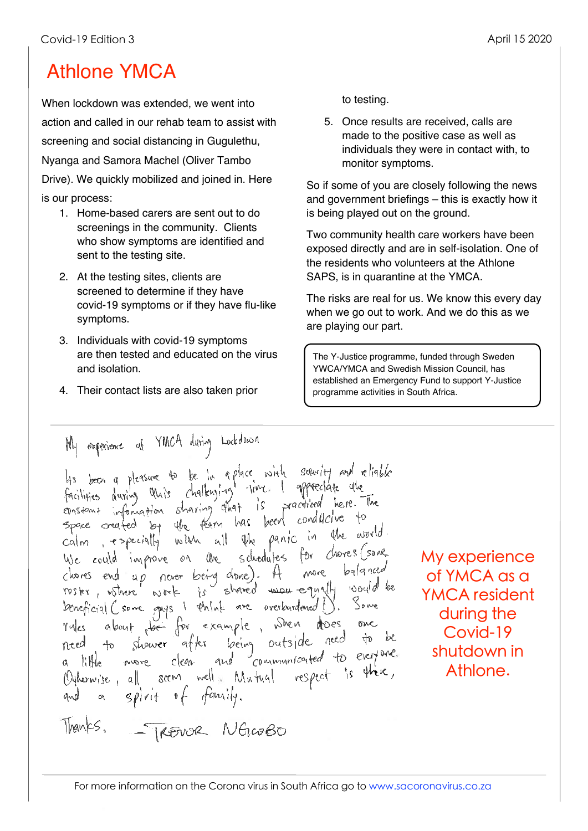# Athlone YMCA

When lockdown was extended, we went into action and called in our rehab team to assist with screening and social distancing in Gugulethu, Nyanga and Samora Machel (Oliver Tambo Drive). We quickly mobilized and joined in. Here is our process:

- 1. Home-based carers are sent out to do screenings in the community. Clients who show symptoms are identified and sent to the testing site.
- 2. At the testing sites, clients are screened to determine if they have covid-19 symptoms or if they have flu-like symptoms.
- 3. Individuals with covid-19 symptoms are then tested and educated on the virus and isolation.
- 4. Their contact lists are also taken prior

to testing.

5. Once results are received, calls are made to the positive case as well as individuals they were in contact with, to monitor symptoms.

So if some of you are closely following the news and government briefings – this is exactly how it is being played out on the ground.

Two community health care workers have been exposed directly and are in self-isolation. One of the residents who volunteers at the Athlone SAPS, is in quarantine at the YMCA.

The risks are real for us. We know this every day when we go out to work. And we do this as we are playing our part.

The Y-Justice programme, funded through Sweden YWCA/YMCA and Swedish Mission Council, has established an Emergency Fund to support Y-Justice programme activities in South Africa.

My experience af YMCA during Lockdown His been a pleasure to be in a place with security and reliable<br>facilities during that's chalknying time. I appreciate the<br>constant information sharing that is practiced here. The considered by the fear has been conditative to space created by the fear has been conducted<br>calm, especially with all the panic in the world.<br>We could improve on the schedules for chores (sone<br>chores end up never being done). A nore balanced<br>roster, where work is share Deneficial Csone guys I think are overburdened !). Some perception of the sample, when the one<br>rules about the for example, when these one<br>need to shower after being outside need to be Officernise, all soon well Mutual respect is there, and a spirit of family.

My experience of YMCA as a YMCA resident during the Covid-19 shutdown in Athlone.

Thanks. - TREVOR NGLOBO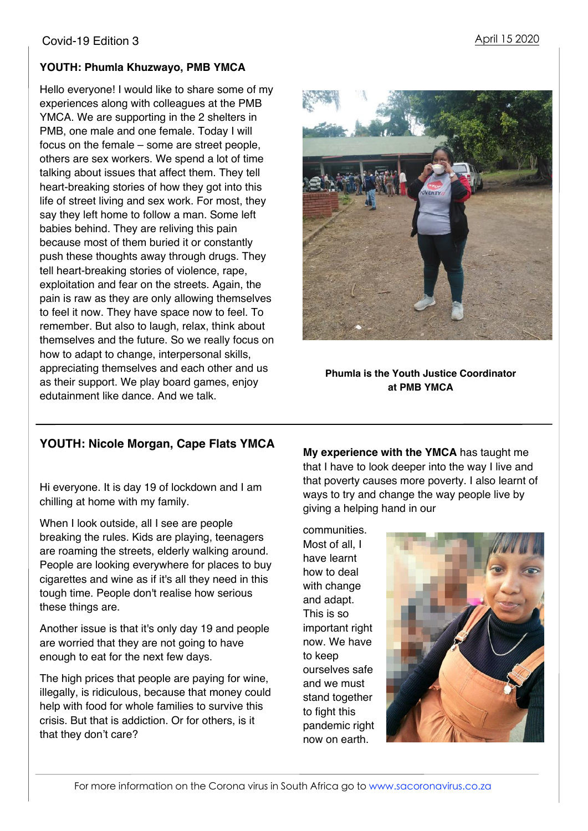#### **YOUTH: Phumla Khuzwayo, PMB YMCA**

Hello everyone! I would like to share some of my experiences along with colleagues at the PMB YMCA. We are supporting in the 2 shelters in PMB, one male and one female. Today I will focus on the female – some are street people, others are sex workers. We spend a lot of time talking about issues that affect them. They tell heart-breaking stories of how they got into this life of street living and sex work. For most, they say they left home to follow a man. Some left babies behind. They are reliving this pain because most of them buried it or constantly push these thoughts away through drugs. They tell heart-breaking stories of violence, rape, exploitation and fear on the streets. Again, the pain is raw as they are only allowing themselves to feel it now. They have space now to feel. To remember. But also to laugh, relax, think about themselves and the future. So we really focus on how to adapt to change, interpersonal skills, appreciating themselves and each other and us as their support. We play board games, enjoy edutainment like dance. And we talk.



#### **Phumla is the Youth Justice Coordinator at PMB YMCA**

### **YOUTH: Nicole Morgan, Cape Flats YMCA**

Hi everyone. It is day 19 of lockdown and I am chilling at home with my family.

When I look outside, all I see are people breaking the rules. Kids are playing, teenagers are roaming the streets, elderly walking around. People are looking everywhere for places to buy cigarettes and wine as if it's all they need in this tough time. People don't realise how serious these things are.

Another issue is that it's only day 19 and people are worried that they are not going to have enough to eat for the next few days.

The high prices that people are paying for wine, illegally, is ridiculous, because that money could help with food for whole families to survive this crisis. But that is addiction. Or for others, is it that they don't care?

**My experience with the YMCA** has taught me that I have to look deeper into the way I live and that poverty causes more poverty. I also learnt of ways to try and change the way people live by giving a helping hand in our

communities. Most of all, I have learnt how to deal with change and adapt. This is so important right now. We have to keep ourselves safe and we must stand together to fight this pandemic right now on earth.